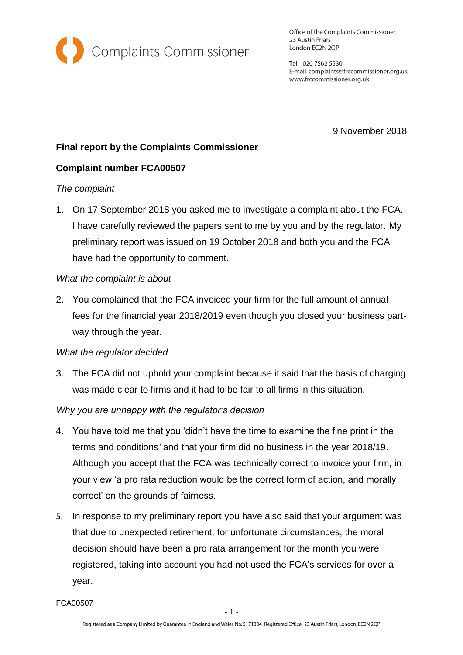

Office of the Complaints Commissioner 23 Austin Friars London EC2N 2QP

Tel: 020 7562 5530 E-mail: complaints@frccommissioner.org.uk www.frccommissioner.org.uk

9 November 2018

# **Final report by the Complaints Commissioner**

## **Complaint number FCA00507**

#### *The complaint*

1. On 17 September 2018 you asked me to investigate a complaint about the FCA. I have carefully reviewed the papers sent to me by you and by the regulator. My preliminary report was issued on 19 October 2018 and both you and the FCA have had the opportunity to comment.

### *What the complaint is about*

2. You complained that the FCA invoiced your firm for the full amount of annual fees for the financial year 2018/2019 even though you closed your business partway through the year.

#### *What the regulator decided*

3. The FCA did not uphold your complaint because it said that the basis of charging was made clear to firms and it had to be fair to all firms in this situation.

## *Why you are unhappy with the regulator's decision*

- 4. You have told me that you 'didn't have the time to examine the fine print in the terms and conditions*'* and that your firm did no business in the year 2018/19. Although you accept that the FCA was technically correct to invoice your firm, in your view 'a pro rata reduction would be the correct form of action, and morally correct' on the grounds of fairness.
- 5. In response to my preliminary report you have also said that your argument was that due to unexpected retirement, for unfortunate circumstances, the moral decision should have been a pro rata arrangement for the month you were registered, taking into account you had not used the FCA's services for over a year.

FCA00507